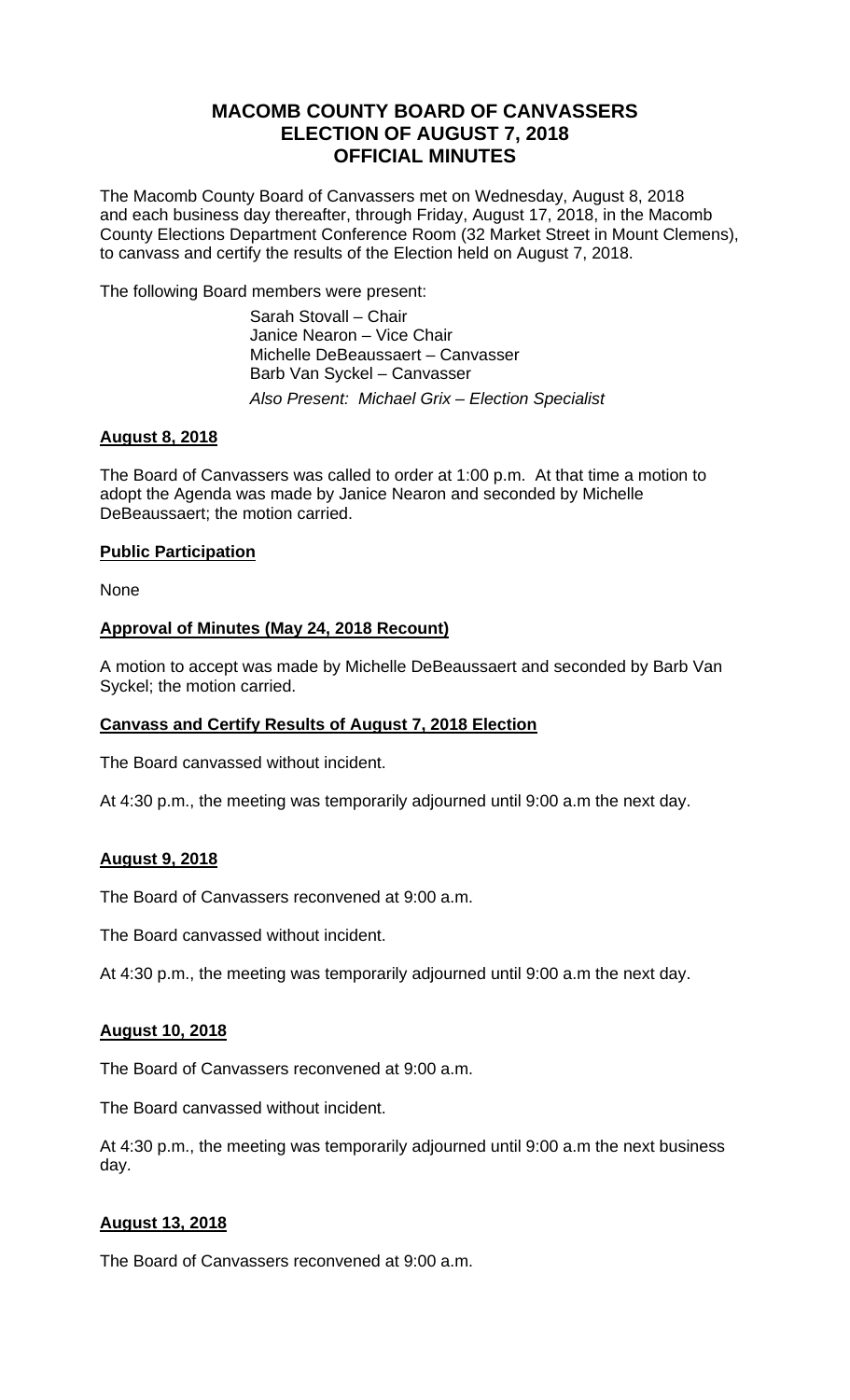# **MACOMB COUNTY BOARD OF CANVASSERS ELECTION OF AUGUST 7, 2018 OFFICIAL MINUTES**

The Macomb County Board of Canvassers met on Wednesday, August 8, 2018 and each business day thereafter, through Friday, August 17, 2018, in the Macomb County Elections Department Conference Room (32 Market Street in Mount Clemens), to canvass and certify the results of the Election held on August 7, 2018.

The following Board members were present:

 Sarah Stovall – Chair Janice Nearon – Vice Chair Michelle DeBeaussaert – Canvasser Barb Van Syckel – Canvasser *Also Present: Michael Grix – Election Specialist* 

## **August 8, 2018**

The Board of Canvassers was called to order at 1:00 p.m. At that time a motion to adopt the Agenda was made by Janice Nearon and seconded by Michelle DeBeaussaert; the motion carried.

## **Public Participation**

None

## **Approval of Minutes (May 24, 2018 Recount)**

A motion to accept was made by Michelle DeBeaussaert and seconded by Barb Van Syckel; the motion carried.

#### **Canvass and Certify Results of August 7, 2018 Election**

The Board canvassed without incident.

At 4:30 p.m., the meeting was temporarily adjourned until 9:00 a.m the next day.

#### **August 9, 2018**

The Board of Canvassers reconvened at 9:00 a.m.

The Board canvassed without incident.

At 4:30 p.m., the meeting was temporarily adjourned until 9:00 a.m the next day.

#### **August 10, 2018**

The Board of Canvassers reconvened at 9:00 a.m.

The Board canvassed without incident.

At 4:30 p.m., the meeting was temporarily adjourned until 9:00 a.m the next business day.

#### **August 13, 2018**

The Board of Canvassers reconvened at 9:00 a.m.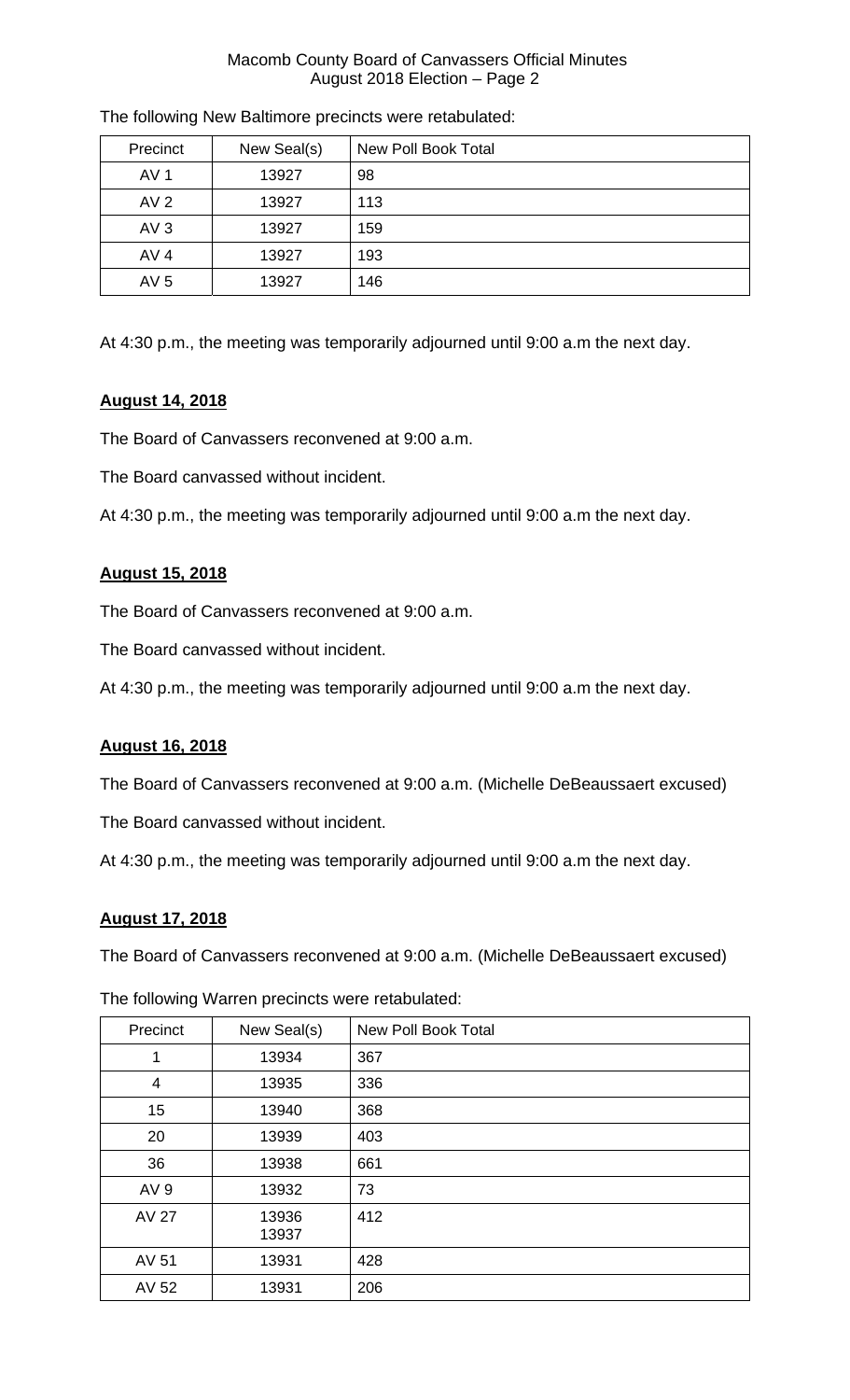#### Macomb County Board of Canvassers Official Minutes August 2018 Election – Page 2

| Precinct        | New Seal(s) | <b>New Poll Book Total</b> |
|-----------------|-------------|----------------------------|
| AV 1            | 13927       | 98                         |
| AV <sub>2</sub> | 13927       | 113                        |
| AV3             | 13927       | 159                        |
| AV <sub>4</sub> | 13927       | 193                        |
| AV <sub>5</sub> | 13927       | 146                        |

The following New Baltimore precincts were retabulated:

At 4:30 p.m., the meeting was temporarily adjourned until 9:00 a.m the next day.

## **August 14, 2018**

The Board of Canvassers reconvened at 9:00 a.m.

The Board canvassed without incident.

At 4:30 p.m., the meeting was temporarily adjourned until 9:00 a.m the next day.

## **August 15, 2018**

The Board of Canvassers reconvened at 9:00 a.m.

The Board canvassed without incident.

At 4:30 p.m., the meeting was temporarily adjourned until 9:00 a.m the next day.

#### **August 16, 2018**

The Board of Canvassers reconvened at 9:00 a.m. (Michelle DeBeaussaert excused)

The Board canvassed without incident.

At 4:30 p.m., the meeting was temporarily adjourned until 9:00 a.m the next day.

## **August 17, 2018**

The Board of Canvassers reconvened at 9:00 a.m. (Michelle DeBeaussaert excused)

| Precinct        | New Seal(s)    | <b>New Poll Book Total</b> |
|-----------------|----------------|----------------------------|
| 1               | 13934          | 367                        |
| $\overline{4}$  | 13935          | 336                        |
| 15              | 13940          | 368                        |
| 20              | 13939          | 403                        |
| 36              | 13938          | 661                        |
| AV <sub>9</sub> | 13932          | 73                         |
| <b>AV 27</b>    | 13936<br>13937 | 412                        |
| AV 51           | 13931          | 428                        |
| AV 52           | 13931          | 206                        |

The following Warren precincts were retabulated: